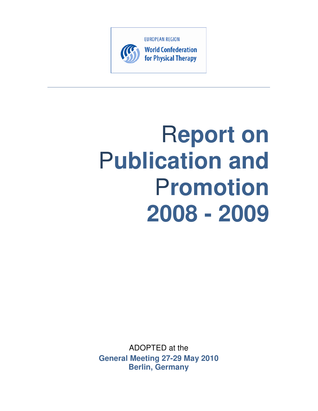

**World Confederation** for Physical Therapy

# R**eport on**  P**ublication and**  P**romotion 2008 - 2009**

ADOPTED at the **General Meeting 27-29 May 2010 Berlin, Germany**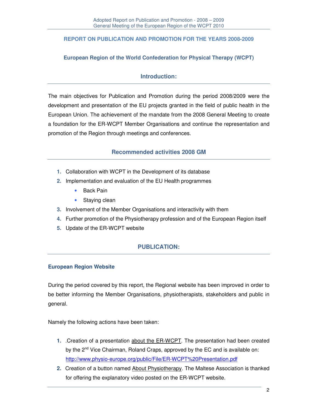## **REPORT ON PUBLICATION AND PROMOTION FOR THE YEARS 2008-2009**

#### **European Region of the World Confederation for Physical Therapy (WCPT)**

## **Introduction:**

The main objectives for Publication and Promotion during the period 2008/2009 were the development and presentation of the EU projects granted in the field of public health in the European Union. The achievement of the mandate from the 2008 General Meeting to create a foundation for the ER-WCPT Member Organisations and continue the representation and promotion of the Region through meetings and conferences.

## **Recommended activities 2008 GM**

- **1.** Collaboration with WCPT in the Development of its database
- **2.** Implementation and evaluation of the EU Health programmes
	- Back Pain
	- Staying clean
- **3.** Involvement of the Member Organisations and interactivity with them
- **4.** Further promotion of the Physiotherapy profession and of the European Region itself
- **5.** Update of the ER-WCPT website

## **PUBLICATION:**

#### **European Region Website**

During the period covered by this report, the Regional website has been improved in order to be better informing the Member Organisations, physiotherapists, stakeholders and public in general.

Namely the following actions have been taken:

- **1.** .Creation of a presentation about the ER-WCPT. The presentation had been created by the 2<sup>nd</sup> Vice Chairman, Roland Craps, approved by the EC and is available on: http://www.physio-europe.org/public/File/ER-WCPT%20Presentation.pdf
- **2.** Creation of a button named About Physiotherapy. The Maltese Association is thanked for offering the explanatory video posted on the ER-WCPT website.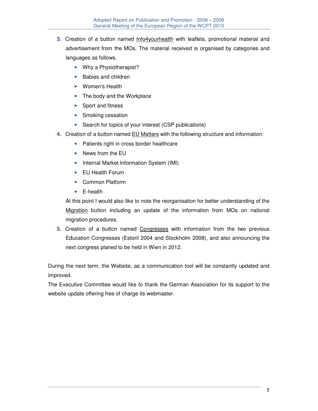- **3.** Creation of a button named Info4yourhealth with leaflets, promotional material and advertisement from the MOs. The material received is organised by categories and languages as follows.
	- Why a Physiotherapist?
	- Babies and children
	- Women's Health
	- The body and the Workplace
	- Sport and fitness
	- Smoking cessation
	- Search for topics of your interest (CSP publications)
- **4.** Creation of a button named EU Matters with the following structure and information:
	- Patients right in cross border healthcare
	- News from the EU
	- Internal Market Information System (IMI)
	- EU Health Forum
	- Common Platform
	- E-health

At this point I would also like to note the reorganisation for better understanding of the Migration button including an update of the information from MOs on national migration procedures.

**5.** Creation of a button named Congresses with information from the two previous Education Congresses (Estoril 2004 and Stockholm 2008), and also announcing the next congress planed to be held in Wien in 2012.

During the next term, the Website, as a communication tool will be constantly updated and improved.

The Executive Committee would like to thank the German Association for its support to the website update offering free of charge its webmaster.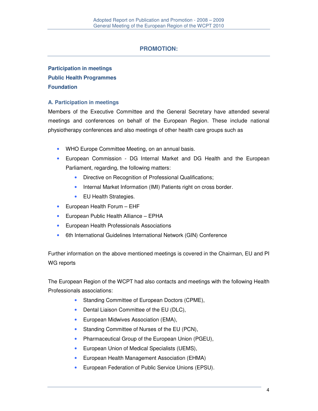## **PROMOTION:**

# **Participation in meetings Public Health Programmes Foundation**

### **A. Participation in meetings**

Members of the Executive Committee and the General Secretary have attended several meetings and conferences on behalf of the European Region. These include national physiotherapy conferences and also meetings of other health care groups such as

- WHO Europe Committee Meeting, on an annual basis.
- European Commission DG Internal Market and DG Health and the European Parliament, regarding, the following matters:
	- Directive on Recognition of Professional Qualifications;
	- Internal Market Information (IMI) Patients right on cross border.
	- EU Health Strategies.
- European Health Forum EHF
- European Public Health Alliance EPHA
- European Health Professionals Associations
- 6th International Guidelines International Network (GIN) Conference

Further information on the above mentioned meetings is covered in the Chairman, EU and PI WG reports

The European Region of the WCPT had also contacts and meetings with the following Health Professionals associations:

- Standing Committee of European Doctors (CPME),
- Dental Liaison Committee of the EU (DLC),
- European Midwives Association (EMA),
- Standing Committee of Nurses of the EU (PCN),
- Pharmaceutical Group of the European Union (PGEU),
- European Union of Medical Specialists (UEMS),
- European Health Management Association (EHMA)
- European Federation of Public Service Unions (EPSU).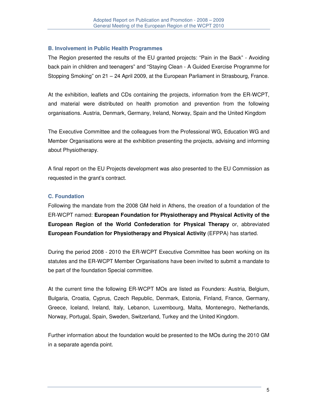#### **B. Involvement in Public Health Programmes**

The Region presented the results of the EU granted projects: "Pain in the Back" - Avoiding back pain in children and teenagers" and "Staying Clean - A Guided Exercise Programme for Stopping Smoking" on 21 – 24 April 2009, at the European Parliament in Strasbourg, France.

At the exhibition, leaflets and CDs containing the projects, information from the ER-WCPT, and material were distributed on health promotion and prevention from the following organisations. Austria, Denmark, Germany, Ireland, Norway, Spain and the United Kingdom

The Executive Committee and the colleagues from the Professional WG, Education WG and Member Organisations were at the exhibition presenting the projects, advising and informing about Physiotherapy.

A final report on the EU Projects development was also presented to the EU Commission as requested in the grant's contract.

#### **C. Foundation**

Following the mandate from the 2008 GM held in Athens, the creation of a foundation of the ER-WCPT named: **European Foundation for Physiotherapy and Physical Activity of the European Region of the World Confederation for Physical Therapy** or, abbreviated **European Foundation for Physiotherapy and Physical Activity** (EFPPA) has started.

During the period 2008 - 2010 the ER-WCPT Executive Committee has been working on its statutes and the ER-WCPT Member Organisations have been invited to submit a mandate to be part of the foundation Special committee.

At the current time the following ER-WCPT MOs are listed as Founders: Austria, Belgium, Bulgaria, Croatia, Cyprus, Czech Republic, Denmark, Estonia, Finland, France, Germany, Greece, Iceland, Ireland, Italy, Lebanon, Luxembourg, Malta, Montenegro, Netherlands, Norway, Portugal, Spain, Sweden, Switzerland, Turkey and the United Kingdom.

Further information about the foundation would be presented to the MOs during the 2010 GM in a separate agenda point.